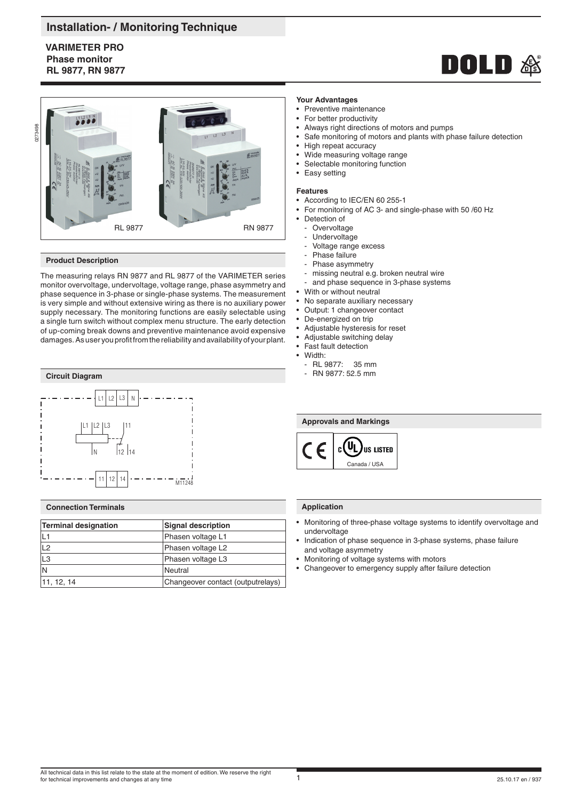# **Installation- / Monitoring Technique**

# **VARIMETER PRO Phase monitor RL 9877, RN 9877**





## **Product Description**

The measuring relays RN 9877 and RL 9877 of the VARIMETER series monitor overvoltage, undervoltage, voltage range, phase asymmetry and phase sequence in 3-phase or single-phase systems. The measurement is very simple and without extensive wiring as there is no auxiliary power supply necessary. The monitoring functions are easily selectable using a single turn switch without complex menu structure. The early detection of up-coming break downs and preventive maintenance avoid expensive damages. As user you profit from the reliability and availability of your plant.



## **Connection Terminals**

| Terminal designation | <b>Signal description</b>         |
|----------------------|-----------------------------------|
| $\vert$ 1            | Phasen voltage L1                 |
| IL <sub>2</sub>      | Phasen voltage L2                 |
| L3                   | Phasen voltage L3                 |
|                      | <b>Neutral</b>                    |
| 11, 12, 14           | Changeover contact (outputrelays) |

## **Your Advantages**

- Preventive maintenance
- For better productivity
- Always right directions of motors and pumps
- Safe monitoring of motors and plants with phase failure detection
- High repeat accuracy
- Wide measuring voltage range
- Selectable monitoring function
- Easy setting

### **Features**

- According to IEC/EN 60 255-1
- For monitoring of AC 3- and single-phase with 50 /60 Hz
	- Detection of
	- Overvoltage
	- **Undervoltage**
	- Voltage range excess
	- Phase failure
	- Phase asymmetry
	- missing neutral e.g. broken neutral wire
	- and phase sequence in 3-phase systems
- With or without neutral
- No separate auxiliary necessary
- Output: 1 changeover contact
- De-energized on trip
- Adjustable hysteresis for reset
- Adjustable switching delay
- Fast fault detection
- Width:
	- RL 9877: 35 mm
	- RN 9877: 52.5 mm

## **Approvals and Markings**

 $\mathbf{u}_\text{L}$ C E US LISTED Canada / USA

## **Application**

- Monitoring of three-phase voltage systems to identify overvoltage and undervoltage
- Indication of phase sequence in 3-phase systems, phase failure and voltage asymmetry
- Monitoring of voltage systems with motors
- Changeover to emergency supply after failure detection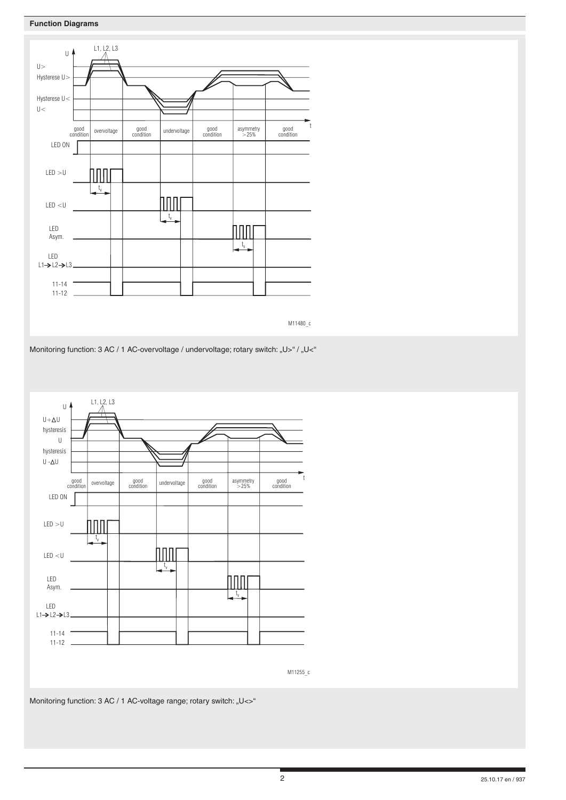# **Function Diagrams**



Monitoring function: 3 AC / 1 AC-overvoltage / undervoltage; rotary switch: "U>" / "U<"



Monitoring function: 3 AC / 1 AC-voltage range; rotary switch: "U<>"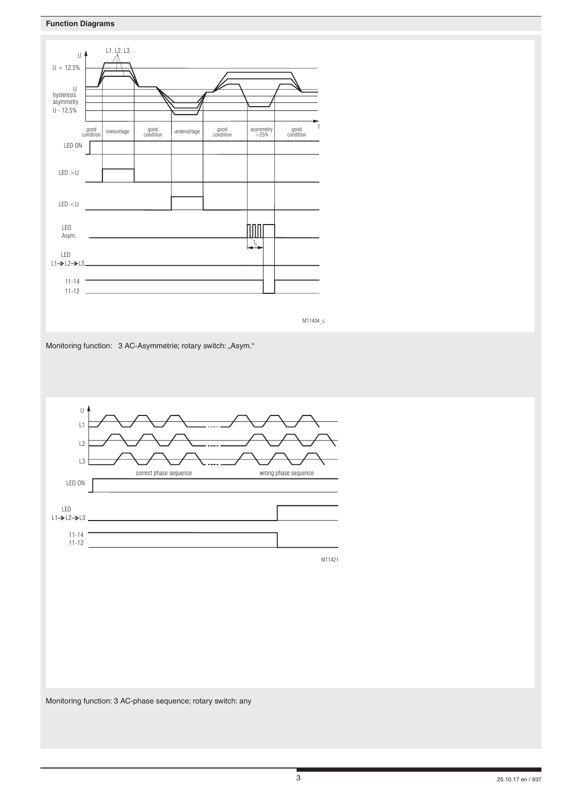

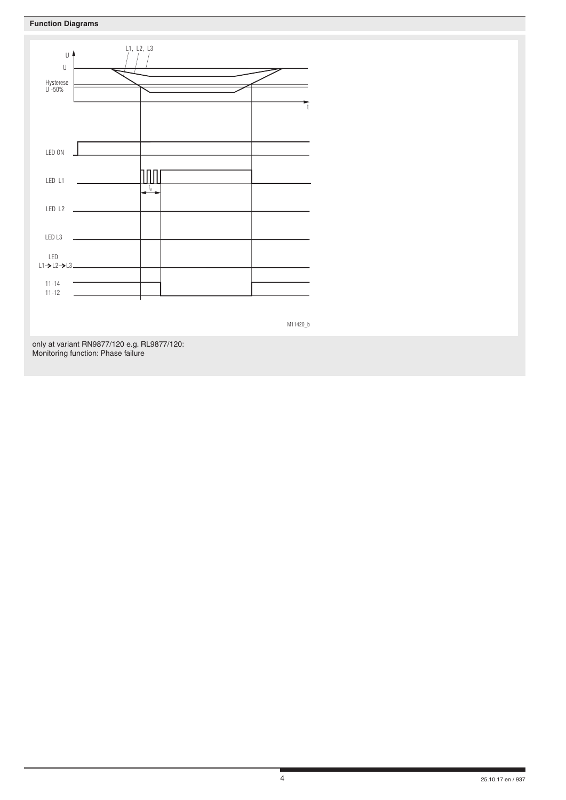# **Function Diagrams**



M11420\_b

only at variant RN9877/120 e.g. RL9877/120: Monitoring function: Phase failure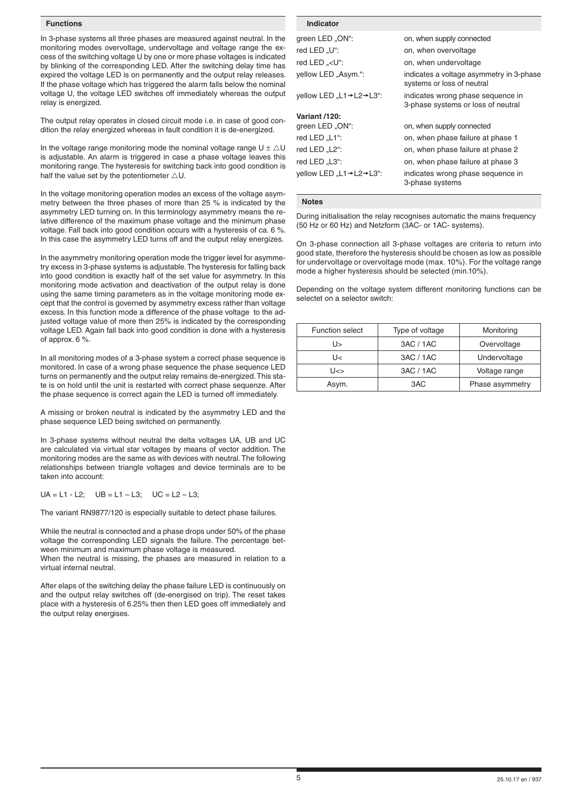### **Functions**

In 3-phase systems all three phases are measured against neutral. In the monitoring modes overvoltage, undervoltage and voltage range the excess of the switching voltage U by one or more phase voltages is indicated by blinking of the corresponding LED. After the switching delay time has expired the voltage LED is on permanently and the output relay releases. If the phase voltage which has triggered the alarm falls below the nominal voltage U, the voltage LED switches off immediately whereas the output relay is energized.

The output relay operates in closed circuit mode i.e. in case of good condition the relay energized whereas in fault condition it is de-energized.

In the voltage range monitoring mode the nominal voltage range  $U \pm \triangle U$ is adjustable. An alarm is triggered in case a phase voltage leaves this monitoring range. The hysteresis for switching back into good condition is half the value set by the potentiometer  $\triangle$ U.

In the voltage monitoring operation modes an excess of the voltage asymmetry between the three phases of more than 25 % is indicated by the asymmetry LED turning on. In this terminology asymmetry means the relative difference of the maximum phase voltage and the minimum phase voltage. Fall back into good condition occurs with a hysteresis of ca. 6 %. In this case the asymmetry LED turns off and the output relay energizes.

In the asymmetry monitoring operation mode the trigger level for asymmetry excess in 3-phase systems is adjustable. The hysteresis for falling back into good condition is exactly half of the set value for asymmetry. In this monitoring mode activation and deactivation of the output relay is done using the same timing parameters as in the voltage monitoring mode except that the control is governed by asymmetry excess rather than voltage excess. In this function mode a difference of the phase voltage to the adjusted voltage value of more then 25% is indicated by the corresponding voltage LED. Again fall back into good condition is done with a hysteresis of approx. 6 %.

In all monitoring modes of a 3-phase system a correct phase sequence is monitored. In case of a wrong phase sequence the phase sequence LED turns on permanently and the output relay remains de-energized. This state is on hold until the unit is restarted with correct phase sequenze. After the phase sequence is correct again the LED is turned off immediately.

A missing or broken neutral is indicated by the asymmetry LED and the phase sequence LED being switched on permanently.

In 3-phase systems without neutral the delta voltages UA, UB and UC are calculated via virtual star voltages by means of vector addition. The monitoring modes are the same as with devices with neutral. The following relationships between triangle voltages and device terminals are to be taken into account:

 $UA = L1 - L2$ ;  $UB = L1 - L3$ ;  $UC = L2 - L3$ ;

The variant RN9877/120 is especially suitable to detect phase failures.

While the neutral is connected and a phase drops under 50% of the phase voltage the corresponding LED signals the failure. The percentage between minimum and maximum phase voltage is measured.

When the neutral is missing, the phases are measured in relation to a virtual internal neutral.

After elaps of the switching delay the phase failure LED is continuously on and the output relay switches off (de-energised on trip). The reset takes place with a hysteresis of 6.25% then then LED goes off immediately and the output relay energises.

| Indicator                                                   |                                                                         |
|-------------------------------------------------------------|-------------------------------------------------------------------------|
| green LED "ON":                                             | on, when supply connected                                               |
| red LED "U":                                                | on, when overvoltage                                                    |
| red LED " <u":< td=""><td>on, when undervoltage</td></u":<> | on, when undervoltage                                                   |
| yellow LED "Asym.":                                         | indicates a voltage asymmetry in 3-phase<br>systems or loss of neutral  |
| yellow LED "L1→L2→L3":                                      | indicates wrong phase sequence in<br>3-phase systems or loss of neutral |
| Variant /120:                                               |                                                                         |
| green LED "ON":                                             | on, when supply connected                                               |
| red LED "L1":                                               | on, when phase failure at phase 1                                       |
| red LED "L2":                                               | on, when phase failure at phase 2                                       |
| red LED "L3":                                               | on, when phase failure at phase 3                                       |
| yellow LED "L1→L2→L3":                                      | indicates wrong phase sequence in<br>3-phase systems                    |

#### **Notes**

During initialisation the relay recognises automatic the mains frequency (50 Hz or 60 Hz) and Netzform (3AC- or 1AC- systems).

On 3-phase connection all 3-phase voltages are criteria to return into good state, therefore the hysteresis should be chosen as low as possible for undervoltage or overvoltage mode (max. 10%). For the voltage range mode a higher hysteresis should be selected (min.10%).

Depending on the voltage system different monitoring functions can be selectet on a selector switch:

| <b>Function select</b> | Type of voltage | Monitoring      |
|------------------------|-----------------|-----------------|
| U>                     | 3AC / 1AC       | Overvoltage     |
| U<                     | 3AC / 1AC       | Undervoltage    |
| U<>                    | 3AC / 1AC       | Voltage range   |
| Asym.                  | 3AC             | Phase asymmetry |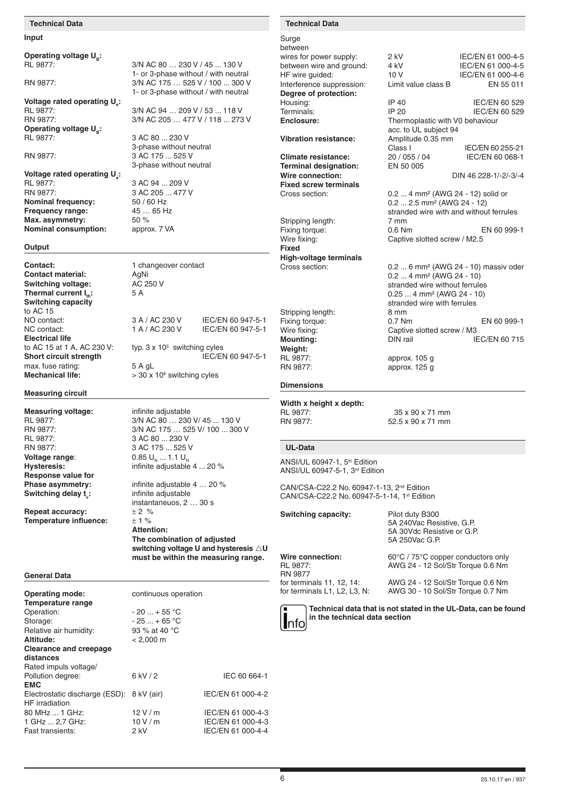#### **Input**

**Operating voltage U<sub>B</sub>:**<br>RL 9877:

**Voltage rated operating U<sub>e</sub>: Operating voltage U<sub>B</sub>:**<br>RL 9877:

**Voltage rated operating U<sub>e</sub>:** RL 9877: 3 AC 94 ... 209 V<br>RN 9877: 3 AC 205 ... 477 **Nominal frequency:** 50 / 60 Hz<br> **Frequency range:** 45 ... 65 Hz **Frequency range:** 45 ...<br>Max. asymmetry: 50 % Max. asymmetry: **Nominal consumption:** approx. 7 VA

### **Output**

**Contact:** 1 changeover contact<br> **Contact material:** AgNi **Contact material:** AgNi<br> **Switching voltage:** AC 250 V **Switching voltage: Thermal current I<sub>n</sub>: 5 A Switching capacity**  to AC 15<br>NO contact: NO contact: 3 A / AC 230 V IEC/EN 60 947-5-1<br>NC contact: 1 A / AC 230 V IEC/EN 60 947-5-1 **Electrical life** to AC 15 at 1 A, AC 230 V: **Short circuit strength** IEC/EN 60 947-5-1 max. fuse rating: 5 A gL **Mechanical life:** 

# **Measuring circuit**

**Measuring voltage:** infinite adjustable<br>
RI 9877: 3/N AC 80 ... 230 RL 9877:  $\begin{array}{r} 3/N \text{ AC } 80 \dots 230 \text{ V} / 45 \dots 130 \text{ V} \\ \text{BN } 9877: \end{array}$ <br> $\begin{array}{r} 3/N \text{ AC } 175 \dots 525 \text{ V} / 100 \dots 300 \end{array}$ RN 9877: 3/N AC 175 … 525 V/ 100 ... 300 V RN 9877: 3 AC 175 ... 525 V<br> **Voltage range:** 3 AC 175 ... 1.1 U. **Voltage range:** 0.85 U<sub>N</sub> ... 1.1 U<sub>N</sub><br> **Hysteresis:** infinite adjustable **Response value for Switching delay t<sub>v</sub>:** 

**Temperature influence:** 

**Hysteresis:** infinite adjustable 4 ... 20 % **Phase asymmetry:** infinite adjustable 4 … 20 % **:** infinite adjustable instantaneuos, 2 … 30 s **Repeat accuracy:**  $\pm 2\%$ <br>**Temperature influence:**  $\pm 1\%$ 

3 AC 80 ... 230 V

typ.  $3 \times 10^5$  switching cyles

 $> 30 \times 10^6$  switching cyles

**Attention: The combination of adjusted switching voltage U and hysteresis U must be within the measuring range.**

IEC/EN 60 947-5-1

## **General Data**

| <b>Operating mode:</b>                                                       | continuous operation                        |                                                             | for |
|------------------------------------------------------------------------------|---------------------------------------------|-------------------------------------------------------------|-----|
| <b>Temperature range</b><br>Operation:<br>Storage:<br>Relative air humidity: | $-20+55$ °C<br>$-25+65$ °C<br>93 % at 40 °C |                                                             |     |
| Altitude:                                                                    | $< 2,000 \text{ m}$                         |                                                             |     |
| <b>Clearance and creepage</b><br>distances                                   |                                             |                                                             |     |
| Rated impuls voltage/<br>Pollution degree:<br><b>EMC</b>                     | 6 kV / 2                                    | IEC 60 664-1                                                |     |
| Electrostatic discharge (ESD):<br><b>HF</b> irradiation                      | 8 kV (air)                                  | IEC/EN 61 000-4-2                                           |     |
| 80 MHz  1 GHz:<br>1 GHz  2.7 GHz:<br>Fast transients:                        | 12V/m<br>10V/m<br>2 kV                      | IEC/EN 61 000-4-3<br>IEC/EN 61 000-4-3<br>IEC/EN 61 000-4-4 |     |

3/N AC 80 ... 230 V / 45 ... 130 V 1- or 3-phase without / with neutral RN 9877: 3/N AC 175 … 525 V / 100 ... 300 V 1- or 3-phase without / with neutral RL 9877: 3/N AC 94 ... 209 V / 53 ... 118 V<br>RN 9877: 3/N AC 205 ... 477 V / 118 ... 273 3/N AC 205 ... 477 V / 118 ... 273 V 3 AC 80 ... 230 V 3-phase without neutral RN 9877: 3 AC 175 ... 525 V 3-phase without neutral 3 AC 205 ... 477 V<br>50 / 60 Hz

# **Technical Data Technical Data**

| Surge                                                                                                            |                                                           |                                                  |
|------------------------------------------------------------------------------------------------------------------|-----------------------------------------------------------|--------------------------------------------------|
| between<br>wires for power supply:                                                                               | 2 kV                                                      | IEC/EN 61 000-4-5                                |
| between wire and ground:                                                                                         | 4 kV                                                      | IEC/EN 61 000-4-5                                |
| HF wire guided:                                                                                                  | 10 V                                                      | IEC/EN 61 000-4-6                                |
| Interference suppression:                                                                                        | Limit value class B                                       | EN 55 011                                        |
| Degree of protection:                                                                                            |                                                           |                                                  |
| Housing:                                                                                                         | IP 40                                                     | IEC/EN 60 529                                    |
| Terminals:                                                                                                       | IP 20                                                     | IEC/EN 60 529                                    |
| Enclosure:                                                                                                       | Thermoplastic with V0 behaviour<br>acc. to UL subject 94  |                                                  |
| <b>Vibration resistance:</b>                                                                                     | Amplitude 0.35 mm<br>Class I                              | IEC/EN 60 255-21                                 |
| Climate resistance:                                                                                              | 20 / 055 / 04                                             | IEC/EN 60 068-1                                  |
| <b>Terminal designation:</b>                                                                                     | EN 50 005                                                 |                                                  |
| Wire connection:                                                                                                 |                                                           | DIN 46 228-1/-2/-3/-4                            |
| <b>Fixed screw terminals</b>                                                                                     |                                                           |                                                  |
| Cross section:                                                                                                   | 0.2  4 mm² (AWG 24 - 12) solid or                         |                                                  |
|                                                                                                                  | $0.22.5$ mm <sup>2</sup> (AWG 24 - 12)                    |                                                  |
|                                                                                                                  | stranded wire with and without ferrules<br>$7 \text{ mm}$ |                                                  |
| Stripping length:                                                                                                | $0.6$ Nm                                                  | EN 60 999-1                                      |
| Fixing torque:<br>Wire fixing:                                                                                   | Captive slotted screw / M2.5                              |                                                  |
| Fixed                                                                                                            |                                                           |                                                  |
| <b>High-voltage terminals</b>                                                                                    |                                                           |                                                  |
| Cross section:                                                                                                   |                                                           | 0.2  6 mm <sup>2</sup> (AWG 24 - 10) massiv oder |
|                                                                                                                  | $0.24$ mm <sup>2</sup> (AWG 24 - 10)                      |                                                  |
|                                                                                                                  | stranded wire without ferrules                            |                                                  |
|                                                                                                                  | $0.254$ mm <sup>2</sup> (AWG 24 - 10)                     |                                                  |
|                                                                                                                  | stranded wire with ferrules                               |                                                  |
| Stripping length:                                                                                                | 8 mm                                                      |                                                  |
| Fixing torque:                                                                                                   | $0.7$ Nm                                                  | EN 60 999-1                                      |
| Wire fixing:                                                                                                     | Captive slotted screw / M3                                |                                                  |
| <b>Mounting:</b>                                                                                                 | DIN rail                                                  | <b>IEC/EN 60 715</b>                             |
| Weight:                                                                                                          |                                                           |                                                  |
| RL 9877:                                                                                                         | approx. 105 g                                             |                                                  |
| RN 9877:                                                                                                         | approx. 125 g                                             |                                                  |
| <b>Dimensions</b>                                                                                                |                                                           |                                                  |
| Width x height x depth:                                                                                          |                                                           |                                                  |
| RL 9877:                                                                                                         | 35 x 90 x 71 mm                                           |                                                  |
| RN 9877:                                                                                                         | 52.5 x 90 x 71 mm                                         |                                                  |
| <b>UL-Data</b>                                                                                                   |                                                           |                                                  |
| ANSI/UL 60947-1, 5 <sup>th</sup> Edition                                                                         |                                                           |                                                  |
| ANSI/UL 60947-5-1, 3rd Edition                                                                                   |                                                           |                                                  |
| CAN/CSA-C22.2 No. 60947-1-13, 2 <sup>nd</sup> Edition<br>CAN/CSA-C22.2 No. 60947-5-1-14, 1 <sup>st</sup> Edition |                                                           |                                                  |
| <b>Switching capacity:</b>                                                                                       | Pilot duty B300                                           |                                                  |
|                                                                                                                  | 5A 240Vac Resistive, G.P.                                 |                                                  |
|                                                                                                                  | 5A 30Vdc Resistive or G.P.                                |                                                  |
|                                                                                                                  | 5A 250Vac G.P.                                            |                                                  |

**Wire connection:** 60°C / 75°C copper conductors only RL 9877: AWG 24 - 12 Sol/Str Torque 0.6 Nm AWG 24 - 12 Sol/Str Torque 0.6 Nm RN 9877 for terminals 11, 12, 14: AWG 24 - 12 Sol/Str Torque 0.6 Nm terminals L1, L2, L3, N: AWG 30 - 10 Sol/Str Torque 0.7 Nm



**Technical data that is not stated in the UL-Data, can be found in the technical data section**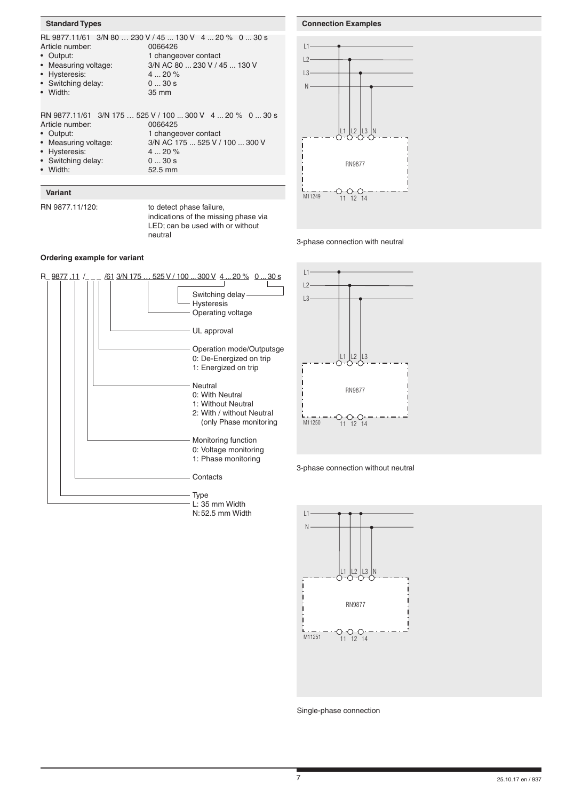| Article number:<br>• Output:<br>• Measuring voltage:<br>• Hysteresis:<br>• Switching delay:<br>• Width: | RL 9877.11/61 3/N 80  230 V / 45  130 V 4  20 % 0  30 s<br>0066426<br>1 changeover contact<br>3/N AC 80  230 V / 45  130 V<br>$420\%$<br>030s<br>35 mm |
|---------------------------------------------------------------------------------------------------------|--------------------------------------------------------------------------------------------------------------------------------------------------------|
|                                                                                                         | RN 9877.11/61 3/N 175  525 V / 100  300 V 4  20 % 0  30 s                                                                                              |
| Article number:                                                                                         | 0066425                                                                                                                                                |
| • Output:                                                                                               | 1 changeover contact                                                                                                                                   |
| • Measuring voltage:                                                                                    | 3/N AC 175  525 V / 100  300 V                                                                                                                         |
| • Hysteresis:                                                                                           | 420%                                                                                                                                                   |
| • Switching delay:                                                                                      | 030s                                                                                                                                                   |
| • Width:                                                                                                | 52.5 mm                                                                                                                                                |
|                                                                                                         |                                                                                                                                                        |

# **Variant**

**Standard Types**

RN 9877.11/120: to detect phase failure, indications of the missing phase via LED; can be used with or without neutral

# **Ordering example for variant**





3-phase connection with neutral







Single-phase connection